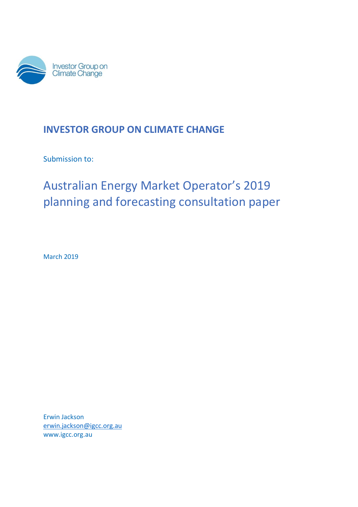

# **INVESTOR GROUP ON CLIMATE CHANGE**

Submission to:

# Australian Energy Market Operator's 2019 planning and forecasting consultation paper

March 2019

Erwin Jackson [erwin.jackson@igcc.org.au](mailto:erwin.jackson@igcc.org.au) www.igcc.org.au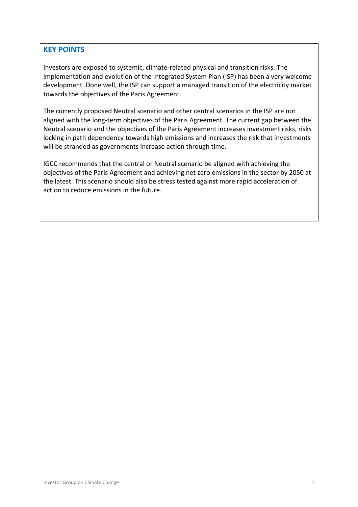### **KEY POINTS**

Investors are exposed to systemic, climate-related physical and transition risks. The implementation and evolution of the Integrated System Plan (ISP) has been a very welcome development. Done well, the ISP can support a managed transition of the electricity market towards the objectives of the Paris Agreement.

The currently proposed Neutral scenario and other central scenarios in the ISP are not aligned with the long-term objectives of the Paris Agreement. The current gap between the Neutral scenario and the objectives of the Paris Agreement increases investment risks, risks locking in path dependency towards high emissions and increases the risk that investments will be stranded as governments increase action through time.

IGCC recommends that the central or Neutral scenario be aligned with achieving the objectives of the Paris Agreement and achieving net zero emissions in the sector by 2050 at the latest. This scenario should also be stress tested against more rapid acceleration of action to reduce emissions in the future.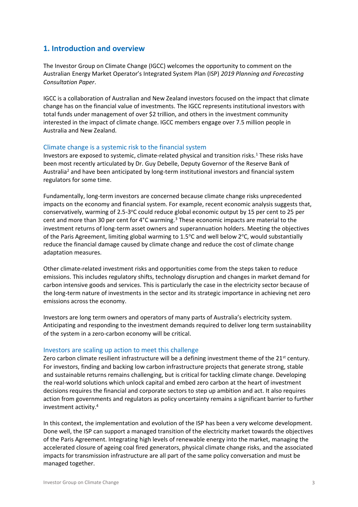### **1. Introduction and overview**

The Investor Group on Climate Change (IGCC) welcomes the opportunity to comment on the Australian Energy Market Operator's Integrated System Plan (ISP) *2019 Planning and Forecasting Consultation Paper*.

IGCC is a collaboration of Australian and New Zealand investors focused on the impact that climate change has on the financial value of investments. The IGCC represents institutional investors with total funds under management of over \$2 trillion, and others in the investment community interested in the impact of climate change. IGCC members engage over 7.5 million people in Australia and New Zealand.

#### Climate change is a systemic risk to the financial system

Investors are exposed to systemic, climate-related physical and transition risks.<sup>1</sup> These risks have been most recently articulated by Dr. Guy Debelle, Deputy Governor of the Reserve Bank of Australia<sup>2</sup> and have been anticipated by long-term institutional investors and financial system regulators for some time.

Fundamentally, long-term investors are concerned because climate change risks unprecedented impacts on the economy and financial system. For example, recent economic analysis suggests that, conservatively, warming of 2.5-3°C could reduce global economic output by 15 per cent to 25 per cent and more than 30 per cent for 4°C warming.<sup>3</sup> These economic impacts are material to the investment returns of long-term asset owners and superannuation holders. Meeting the objectives of the Paris Agreement, limiting global warming to 1.5°C and well below 2°C, would substantially reduce the financial damage caused by climate change and reduce the cost of climate change adaptation measures.

Other climate-related investment risks and opportunities come from the steps taken to reduce emissions. This includes regulatory shifts, technology disruption and changes in market demand for carbon intensive goods and services. This is particularly the case in the electricity sector because of the long-term nature of investments in the sector and its strategic importance in achieving net zero emissions across the economy.

Investors are long term owners and operators of many parts of Australia's electricity system. Anticipating and responding to the investment demands required to deliver long term sustainability of the system in a zero-carbon economy will be critical.

#### Investors are scaling up action to meet this challenge

Zero carbon climate resilient infrastructure will be a defining investment theme of the 21<sup>st</sup> century. For investors, finding and backing low carbon infrastructure projects that generate strong, stable and sustainable returns remains challenging, but is critical for tackling climate change. Developing the real-world solutions which unlock capital and embed zero carbon at the heart of investment decisions requires the financial and corporate sectors to step up ambition and act. It also requires action from governments and regulators as policy uncertainty remains a significant barrier to further investment activity.<sup>4</sup>

In this context, the implementation and evolution of the ISP has been a very welcome development. Done well, the ISP can support a managed transition of the electricity market towards the objectives of the Paris Agreement. Integrating high levels of renewable energy into the market, managing the accelerated closure of ageing coal fired generators, physical climate change risks, and the associated impacts for transmission infrastructure are all part of the same policy conversation and must be managed together.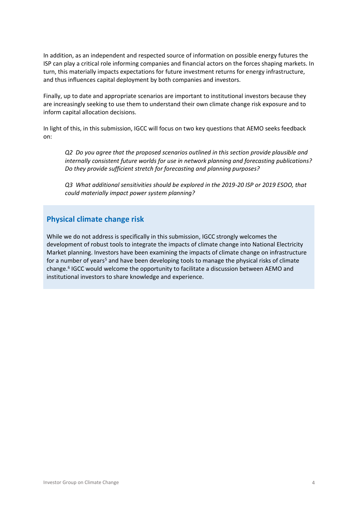In addition, as an independent and respected source of information on possible energy futures the ISP can play a critical role informing companies and financial actors on the forces shaping markets. In turn, this materially impacts expectations for future investment returns for energy infrastructure, and thus influences capital deployment by both companies and investors.

Finally, up to date and appropriate scenarios are important to institutional investors because they are increasingly seeking to use them to understand their own climate change risk exposure and to inform capital allocation decisions.

In light of this, in this submission, IGCC will focus on two key questions that AEMO seeks feedback on:

*Q2 Do you agree that the proposed scenarios outlined in this section provide plausible and internally consistent future worlds for use in network planning and forecasting publications? Do they provide sufficient stretch for forecasting and planning purposes?*

*Q3 What additional sensitivities should be explored in the 2019-20 ISP or 2019 ESOO, that could materially impact power system planning?*

# **Physical climate change risk**

While we do not address is specifically in this submission, IGCC strongly welcomes the development of robust tools to integrate the impacts of climate change into National Electricity Market planning. Investors have been examining the impacts of climate change on infrastructure for a number of years<sup>5</sup> and have been developing tools to manage the physical risks of climate change.<sup>6</sup> IGCC would welcome the opportunity to facilitate a discussion between AEMO and institutional investors to share knowledge and experience.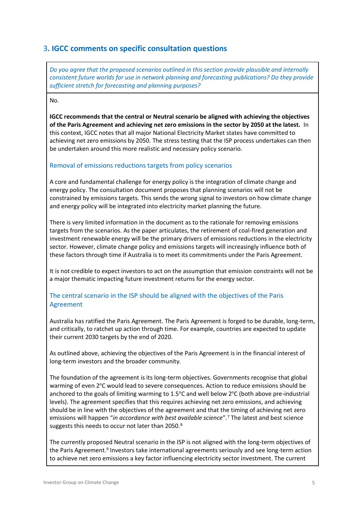# 3**. IGCC comments on specific consultation questions**

*Do you agree that the proposed scenarios outlined in this section provide plausible and internally consistent future worlds for use in network planning and forecasting publications? Do they provide sufficient stretch for forecasting and planning purposes?*

#### No.

**IGCC recommends that the central or Neutral scenario be aligned with achieving the objectives of the Paris Agreement and achieving net zero emissions in the sector by 2050 at the latest.** In this context, IGCC notes that all major National Electricity Market states have committed to achieving net zero emissions by 2050. The stress testing that the ISP process undertakes can then be undertaken around this more realistic and necessary policy scenario.

#### Removal of emissions reductions targets from policy scenarios

A core and fundamental challenge for energy policy is the integration of climate change and energy policy. The consultation document proposes that planning scenarios will not be constrained by emissions targets. This sends the wrong signal to investors on how climate change and energy policy will be integrated into electricity market planning the future.

There is very limited information in the document as to the rationale for removing emissions targets from the scenarios. As the paper articulates, the retirement of coal-fired generation and investment renewable energy will be the primary drivers of emissions reductions in the electricity sector. However, climate change policy and emissions targets will increasingly influence both of these factors through time if Australia is to meet its commitments under the Paris Agreement.

It is not credible to expect investors to act on the assumption that emission constraints will not be a major thematic impacting future investment returns for the energy sector.

#### The central scenario in the ISP should be aligned with the objectives of the Paris Agreement

Australia has ratified the Paris Agreement. The Paris Agreement is forged to be durable, long-term, and critically, to ratchet up action through time. For example, countries are expected to update their current 2030 targets by the end of 2020.

As outlined above, achieving the objectives of the Paris Agreement is in the financial interest of long-term investors and the broader community.

The foundation of the agreement is its long-term objectives. Governments recognise that global warming of even 2°C would lead to severe consequences. Action to reduce emissions should be anchored to the goals of limiting warming to  $1.5^{\circ}$ C and well below  $2^{\circ}$ C (both above pre-industrial levels). The agreement specifies that this requires achieving net zero emissions, and achieving should be in line with the objectives of the agreement and that the timing of achieving net zero emissions will happen "*in accordance with best available science*".<sup>7</sup> The latest and best science suggests this needs to occur not later than 2050.<sup>8</sup>

The currently proposed Neutral scenario in the ISP is not aligned with the long-term objectives of the Paris Agreement.<sup>9</sup> Investors take international agreements seriously and see long-term action to achieve net zero emissions a key factor influencing electricity sector investment. The current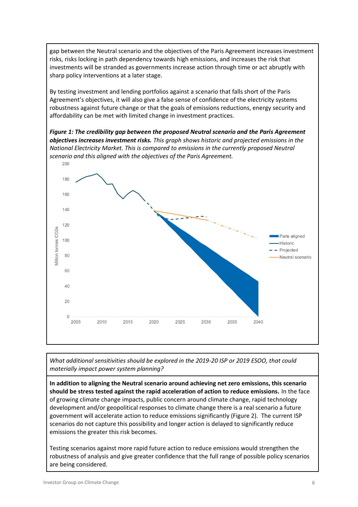gap between the Neutral scenario and the objectives of the Paris Agreement increases investment risks, risks locking in path dependency towards high emissions, and increases the risk that investments will be stranded as governments increase action through time or act abruptly with sharp policy interventions at a later stage.

By testing investment and lending portfolios against a scenario that falls short of the Paris Agreement's objectives, it will also give a false sense of confidence of the electricity systems robustness against future change or that the goals of emissions reductions, energy security and affordability can be met with limited change in investment practices.

*Figure 1: The credibility gap between the proposed Neutral scenario and the Paris Agreement objectives increases investment risks. This graph shows historic and projected emissions in the National Electricity Market. This is compared to emissions in the currently proposed Neutral scenario and this aligned with the objectives of the Paris Agreement.*



*What additional sensitivities should be explored in the 2019-20 ISP or 2019 ESOO, that could materially impact power system planning?*

**In addition to aligning the Neutral scenario around achieving net zero emissions, this scenario should be stress tested against the rapid acceleration of action to reduce emissions.** In the face of growing climate change impacts, public concern around climate change, rapid technology development and/or geopolitical responses to climate change there is a real scenario a future government will accelerate action to reduce emissions significantly (Figure 2). The current ISP scenarios do not capture this possibility and longer action is delayed to significantly reduce emissions the greater this risk becomes.

Testing scenarios against more rapid future action to reduce emissions would strengthen the robustness of analysis and give greater confidence that the full range of possible policy scenarios are being considered.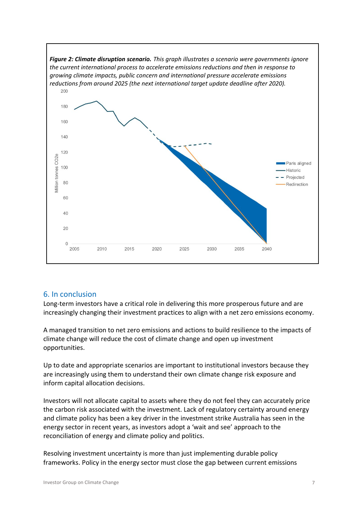

# 6. In conclusion

Long-term investors have a critical role in delivering this more prosperous future and are increasingly changing their investment practices to align with a net zero emissions economy.

A managed transition to net zero emissions and actions to build resilience to the impacts of climate change will reduce the cost of climate change and open up investment opportunities.

Up to date and appropriate scenarios are important to institutional investors because they are increasingly using them to understand their own climate change risk exposure and inform capital allocation decisions.

Investors will not allocate capital to assets where they do not feel they can accurately price the carbon risk associated with the investment. Lack of regulatory certainty around energy and climate policy has been a key driver in the investment strike Australia has seen in the energy sector in recent years, as investors adopt a 'wait and see' approach to the reconciliation of energy and climate policy and politics.

Resolving investment uncertainty is more than just implementing durable policy frameworks. Policy in the energy sector must close the gap between current emissions